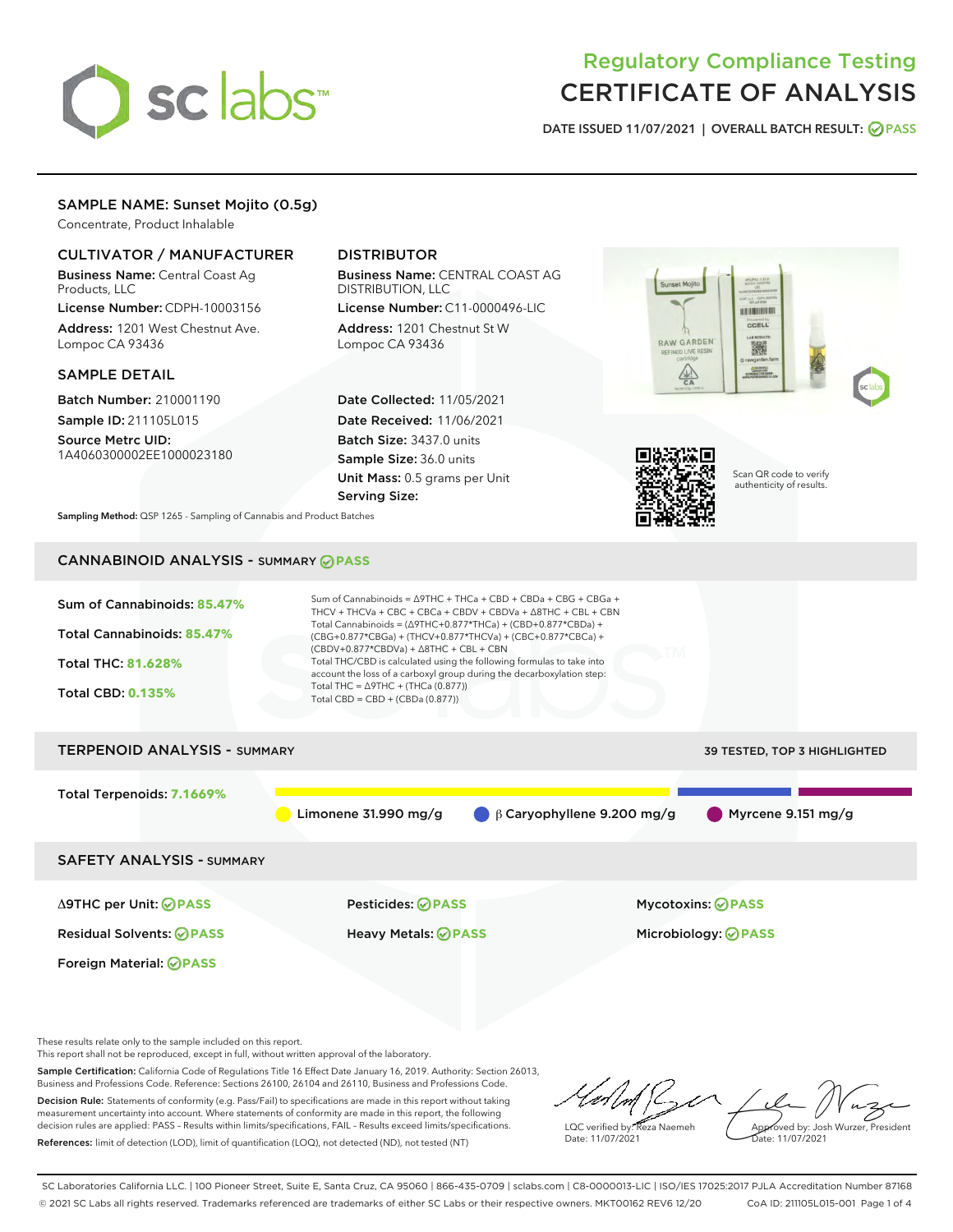

# Regulatory Compliance Testing CERTIFICATE OF ANALYSIS

DATE ISSUED 11/07/2021 | OVERALL BATCH RESULT: @ PASS

## SAMPLE NAME: Sunset Mojito (0.5g)

Concentrate, Product Inhalable

## CULTIVATOR / MANUFACTURER

Business Name: Central Coast Ag Products, LLC

License Number: CDPH-10003156 Address: 1201 West Chestnut Ave. Lompoc CA 93436

#### SAMPLE DETAIL

Batch Number: 210001190 Sample ID: 211105L015

Source Metrc UID: 1A4060300002EE1000023180

## DISTRIBUTOR

Business Name: CENTRAL COAST AG DISTRIBUTION, LLC

License Number: C11-0000496-LIC Address: 1201 Chestnut St W Lompoc CA 93436

Date Collected: 11/05/2021 Date Received: 11/06/2021 Batch Size: 3437.0 units Sample Size: 36.0 units Unit Mass: 0.5 grams per Unit Serving Size:





Scan QR code to verify authenticity of results.

Sampling Method: QSP 1265 - Sampling of Cannabis and Product Batches

# CANNABINOID ANALYSIS - SUMMARY **PASS**

| Sum of Cannabinoids: 85.47%<br>Total Cannabinoids: 85.47%<br><b>Total THC: 81.628%</b><br><b>Total CBD: 0.135%</b> | Sum of Cannabinoids = $\triangle$ 9THC + THCa + CBD + CBDa + CBG + CBGa +<br>THCV + THCVa + CBC + CBCa + CBDV + CBDVa + $\Delta$ 8THC + CBL + CBN<br>Total Cannabinoids = $(\Delta$ 9THC+0.877*THCa) + (CBD+0.877*CBDa) +<br>(CBG+0.877*CBGa) + (THCV+0.877*THCVa) + (CBC+0.877*CBCa) +<br>(CBDV+0.877*CBDVa) + $\triangle$ 8THC + CBL + CBN<br>Total THC/CBD is calculated using the following formulas to take into<br>account the loss of a carboxyl group during the decarboxylation step:<br>Total THC = $\triangle$ 9THC + (THCa (0.877))<br>Total CBD = $CBD + (CBDa (0.877))$ |                              |  |  |  |
|--------------------------------------------------------------------------------------------------------------------|---------------------------------------------------------------------------------------------------------------------------------------------------------------------------------------------------------------------------------------------------------------------------------------------------------------------------------------------------------------------------------------------------------------------------------------------------------------------------------------------------------------------------------------------------------------------------------------|------------------------------|--|--|--|
| <b>TERPENOID ANALYSIS - SUMMARY</b>                                                                                |                                                                                                                                                                                                                                                                                                                                                                                                                                                                                                                                                                                       | 39 TESTED, TOP 3 HIGHLIGHTED |  |  |  |
| Total Terpenoids: 7.1669%                                                                                          | Limonene 31.990 mg/g<br>$\beta$ Caryophyllene 9.200 mg/g                                                                                                                                                                                                                                                                                                                                                                                                                                                                                                                              | Myrcene 9.151 $mg/g$         |  |  |  |
| <b>SAFETY ANALYSIS - SUMMARY</b>                                                                                   |                                                                                                                                                                                                                                                                                                                                                                                                                                                                                                                                                                                       |                              |  |  |  |
| $\triangle$ 9THC per Unit: $\oslash$ PASS                                                                          | Pesticides: ⊘PASS                                                                                                                                                                                                                                                                                                                                                                                                                                                                                                                                                                     | <b>Mycotoxins: ⊘PASS</b>     |  |  |  |
| <b>Residual Solvents: ⊘PASS</b>                                                                                    | Heavy Metals: <b>PASS</b>                                                                                                                                                                                                                                                                                                                                                                                                                                                                                                                                                             | Microbiology: <b>OPASS</b>   |  |  |  |

These results relate only to the sample included on this report.

Foreign Material: **PASS**

This report shall not be reproduced, except in full, without written approval of the laboratory.

Sample Certification: California Code of Regulations Title 16 Effect Date January 16, 2019. Authority: Section 26013, Business and Professions Code. Reference: Sections 26100, 26104 and 26110, Business and Professions Code. Decision Rule: Statements of conformity (e.g. Pass/Fail) to specifications are made in this report without taking

measurement uncertainty into account. Where statements of conformity are made in this report, the following decision rules are applied: PASS – Results within limits/specifications, FAIL – Results exceed limits/specifications. References: limit of detection (LOD), limit of quantification (LOQ), not detected (ND), not tested (NT)

 $n \mu$ Approved by: Josh Wurzer, President LQC verified by: Reza Naemeh Date: 11/07/2021 Date: 11/07/2021

SC Laboratories California LLC. | 100 Pioneer Street, Suite E, Santa Cruz, CA 95060 | 866-435-0709 | sclabs.com | C8-0000013-LIC | ISO/IES 17025:2017 PJLA Accreditation Number 87168 © 2021 SC Labs all rights reserved. Trademarks referenced are trademarks of either SC Labs or their respective owners. MKT00162 REV6 12/20 CoA ID: 211105L015-001 Page 1 of 4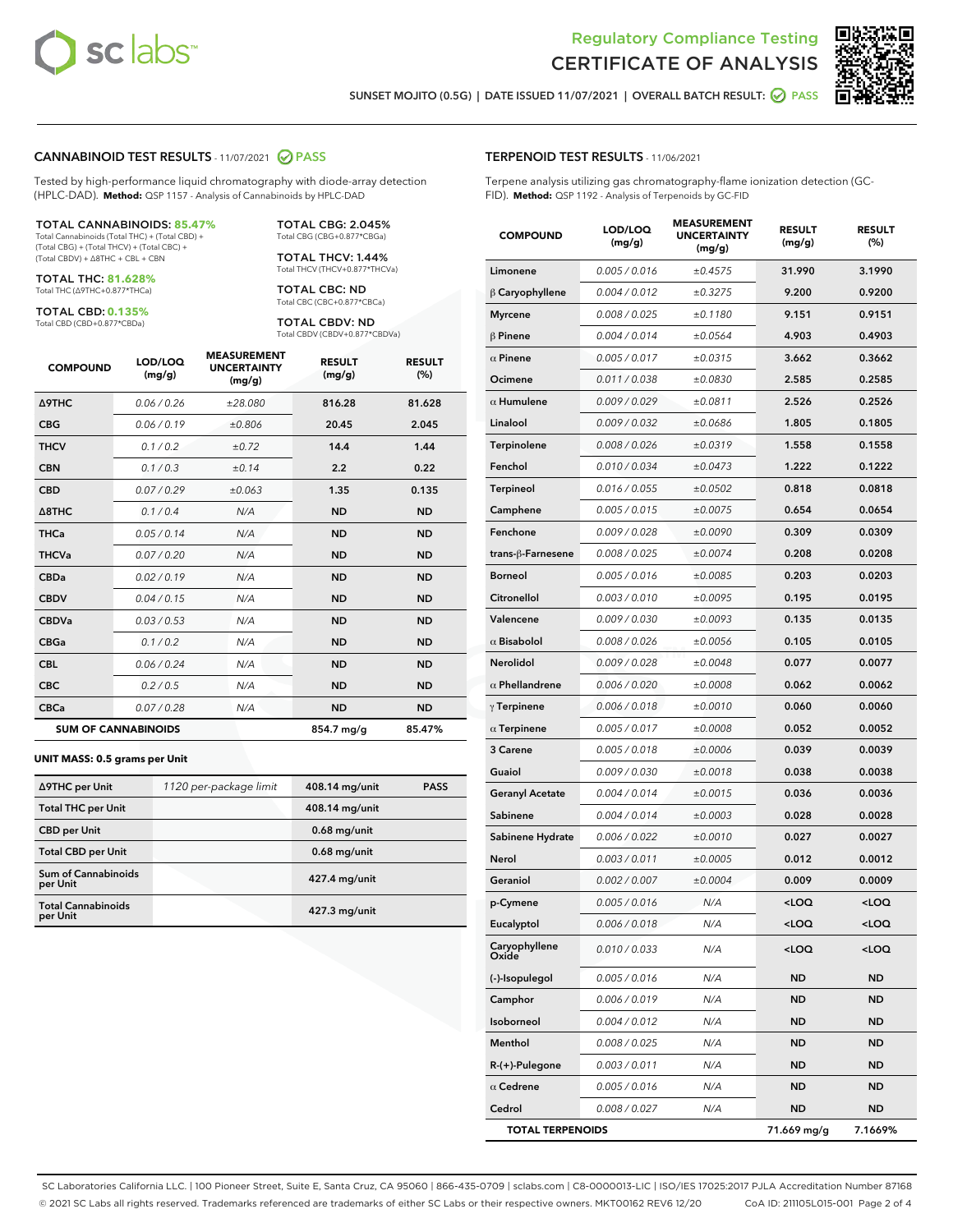



SUNSET MOJITO (0.5G) | DATE ISSUED 11/07/2021 | OVERALL BATCH RESULT: **● PASS** 

#### CANNABINOID TEST RESULTS - 11/07/2021 2 PASS

Tested by high-performance liquid chromatography with diode-array detection (HPLC-DAD). **Method:** QSP 1157 - Analysis of Cannabinoids by HPLC-DAD

#### TOTAL CANNABINOIDS: **85.47%**

Total Cannabinoids (Total THC) + (Total CBD) + (Total CBG) + (Total THCV) + (Total CBC) + (Total CBDV) + ∆8THC + CBL + CBN

TOTAL THC: **81.628%** Total THC (∆9THC+0.877\*THCa)

TOTAL CBD: **0.135%**

Total CBD (CBD+0.877\*CBDa)

TOTAL CBG: 2.045% Total CBG (CBG+0.877\*CBGa)

TOTAL THCV: 1.44% Total THCV (THCV+0.877\*THCVa)

TOTAL CBC: ND Total CBC (CBC+0.877\*CBCa)

TOTAL CBDV: ND Total CBDV (CBDV+0.877\*CBDVa)

| <b>COMPOUND</b>            | LOD/LOQ<br>(mg/g) | <b>MEASUREMENT</b><br><b>UNCERTAINTY</b><br>(mg/g) | <b>RESULT</b><br>(mg/g) | <b>RESULT</b><br>(%) |
|----------------------------|-------------------|----------------------------------------------------|-------------------------|----------------------|
| <b>A9THC</b>               | 0.06 / 0.26       | ±28.080                                            | 816.28                  | 81.628               |
| <b>CBG</b>                 | 0.06/0.19         | ±0.806                                             | 20.45                   | 2.045                |
| <b>THCV</b>                | 0.1 / 0.2         | ±0.72                                              | 14.4                    | 1.44                 |
| <b>CBN</b>                 | 0.1 / 0.3         | ±0.14                                              | 2.2                     | 0.22                 |
| <b>CBD</b>                 | 0.07/0.29         | ±0.063                                             | 1.35                    | 0.135                |
| $\triangle$ 8THC           | 0.1/0.4           | N/A                                                | <b>ND</b>               | <b>ND</b>            |
| <b>THCa</b>                | 0.05/0.14         | N/A                                                | <b>ND</b>               | <b>ND</b>            |
| <b>THCVa</b>               | 0.07/0.20         | N/A                                                | <b>ND</b>               | <b>ND</b>            |
| <b>CBDa</b>                | 0.02/0.19         | N/A                                                | <b>ND</b>               | <b>ND</b>            |
| <b>CBDV</b>                | 0.04/0.15         | N/A                                                | <b>ND</b>               | <b>ND</b>            |
| <b>CBDVa</b>               | 0.03/0.53         | N/A                                                | <b>ND</b>               | <b>ND</b>            |
| <b>CBGa</b>                | 0.1/0.2           | N/A                                                | <b>ND</b>               | <b>ND</b>            |
| <b>CBL</b>                 | 0.06 / 0.24       | N/A                                                | <b>ND</b>               | <b>ND</b>            |
| <b>CBC</b>                 | 0.2 / 0.5         | N/A                                                | <b>ND</b>               | <b>ND</b>            |
| <b>CBCa</b>                | 0.07 / 0.28       | N/A                                                | <b>ND</b>               | <b>ND</b>            |
| <b>SUM OF CANNABINOIDS</b> |                   |                                                    | 854.7 mg/g              | 85.47%               |

#### **UNIT MASS: 0.5 grams per Unit**

| ∆9THC per Unit                         | 1120 per-package limit | 408.14 mg/unit | <b>PASS</b> |
|----------------------------------------|------------------------|----------------|-------------|
| <b>Total THC per Unit</b>              |                        | 408.14 mg/unit |             |
| <b>CBD per Unit</b>                    |                        | $0.68$ mg/unit |             |
| <b>Total CBD per Unit</b>              |                        | $0.68$ mg/unit |             |
| <b>Sum of Cannabinoids</b><br>per Unit |                        | 427.4 mg/unit  |             |
| <b>Total Cannabinoids</b><br>per Unit  |                        | 427.3 mg/unit  |             |

| <b>COMPOUND</b>         | LOD/LOQ<br>(mg/g) | <b>AJUREIVII</b><br><b>UNCERTAINTY</b><br>(mg/g) | <b>RESULT</b><br>(mg/g)                         | <b>RESULT</b><br>(%) |
|-------------------------|-------------------|--------------------------------------------------|-------------------------------------------------|----------------------|
| Limonene                | 0.005 / 0.016     | ±0.4575                                          | 31.990                                          | 3.1990               |
| $\beta$ Caryophyllene   | 0.004 / 0.012     | ±0.3275                                          | 9.200                                           | 0.9200               |
| <b>Myrcene</b>          | 0.008 / 0.025     | ±0.1180                                          | 9.151                                           | 0.9151               |
| $\beta$ Pinene          | 0.004 / 0.014     | ±0.0564                                          | 4.903                                           | 0.4903               |
| $\alpha$ Pinene         | 0.005 / 0.017     | ±0.0315                                          | 3.662                                           | 0.3662               |
| Ocimene                 | 0.011 / 0.038     | ±0.0830                                          | 2.585                                           | 0.2585               |
| $\alpha$ Humulene       | 0.009 / 0.029     | ±0.0811                                          | 2.526                                           | 0.2526               |
| Linalool                | 0.009 / 0.032     | ±0.0686                                          | 1.805                                           | 0.1805               |
| Terpinolene             | 0.008 / 0.026     | ±0.0319                                          | 1.558                                           | 0.1558               |
| Fenchol                 | 0.010 / 0.034     | ±0.0473                                          | 1.222                                           | 0.1222               |
| Terpineol               | 0.016 / 0.055     | ±0.0502                                          | 0.818                                           | 0.0818               |
| Camphene                | 0.005 / 0.015     | ±0.0075                                          | 0.654                                           | 0.0654               |
| Fenchone                | 0.009 / 0.028     | ±0.0090                                          | 0.309                                           | 0.0309               |
| trans-β-Farnesene       | 0.008 / 0.025     | ±0.0074                                          | 0.208                                           | 0.0208               |
| <b>Borneol</b>          | 0.005 / 0.016     | ±0.0085                                          | 0.203                                           | 0.0203               |
| Citronellol             | 0.003 / 0.010     | ±0.0095                                          | 0.195                                           | 0.0195               |
| Valencene               | 0.009 / 0.030     | ±0.0093                                          | 0.135                                           | 0.0135               |
| $\alpha$ Bisabolol      | 0.008 / 0.026     | ±0.0056                                          | 0.105                                           | 0.0105               |
| Nerolidol               | 0.009 / 0.028     | ±0.0048                                          | 0.077                                           | 0.0077               |
| $\alpha$ Phellandrene   | 0.006 / 0.020     | ±0.0008                                          | 0.062                                           | 0.0062               |
| $\gamma$ Terpinene      | 0.006 / 0.018     | ±0.0010                                          | 0.060                                           | 0.0060               |
| $\alpha$ Terpinene      | 0.005 / 0.017     | ±0.0008                                          | 0.052                                           | 0.0052               |
| 3 Carene                | 0.005 / 0.018     | ±0.0006                                          | 0.039                                           | 0.0039               |
| Guaiol                  | 0.009 / 0.030     | ±0.0018                                          | 0.038                                           | 0.0038               |
| <b>Geranyl Acetate</b>  | 0.004 / 0.014     | ±0.0015                                          | 0.036                                           | 0.0036               |
| Sabinene                | 0.004 / 0.014     | ±0.0003                                          | 0.028                                           | 0.0028               |
| Sabinene Hydrate        | 0.006 / 0.022     | ±0.0010                                          | 0.027                                           | 0.0027               |
| Nerol                   | 0.003 / 0.011     | ±0.0005                                          | 0.012                                           | 0.0012               |
| Geraniol                | 0.002 / 0.007     | ±0.0004                                          | 0.009                                           | 0.0009               |
| p-Cymene                | 0.005 / 0.016     | N/A                                              | <loq< th=""><th><loq< th=""></loq<></th></loq<> | <loq< th=""></loq<>  |
| Eucalyptol              | 0.006 / 0.018     | N/A                                              | <loq< th=""><th><loq< th=""></loq<></th></loq<> | <loq< th=""></loq<>  |
| Caryophyllene<br>Oxide  | 0.010 / 0.033     | N/A                                              | <loq< th=""><th><loq< th=""></loq<></th></loq<> | <loq< th=""></loq<>  |
| (-)-Isopulegol          | 0.005 / 0.016     | N/A                                              | ND                                              | ND                   |
| Camphor                 | 0.006 / 0.019     | N/A                                              | ND                                              | ND                   |
| Isoborneol              | 0.004 / 0.012     | N/A                                              | ND                                              | <b>ND</b>            |
| Menthol                 | 0.008 / 0.025     | N/A                                              | ND                                              | ND                   |
| R-(+)-Pulegone          | 0.003 / 0.011     | N/A                                              | ND                                              | ND                   |
| $\alpha$ Cedrene        | 0.005 / 0.016     | N/A                                              | ND                                              | ND                   |
| Cedrol                  | 0.008 / 0.027     | N/A                                              | ND                                              | ND                   |
| <b>TOTAL TERPENOIDS</b> |                   |                                                  | 71.669 mg/g                                     | 7.1669%              |

SC Laboratories California LLC. | 100 Pioneer Street, Suite E, Santa Cruz, CA 95060 | 866-435-0709 | sclabs.com | C8-0000013-LIC | ISO/IES 17025:2017 PJLA Accreditation Number 87168 © 2021 SC Labs all rights reserved. Trademarks referenced are trademarks of either SC Labs or their respective owners. MKT00162 REV6 12/20 CoA ID: 211105L015-001 Page 2 of 4

## TERPENOID TEST RESULTS - 11/06/2021

Terpene analysis utilizing gas chromatography-flame ionization detection (GC-FID). **Method:** QSP 1192 - Analysis of Terpenoids by GC-FID

MEACUREMENT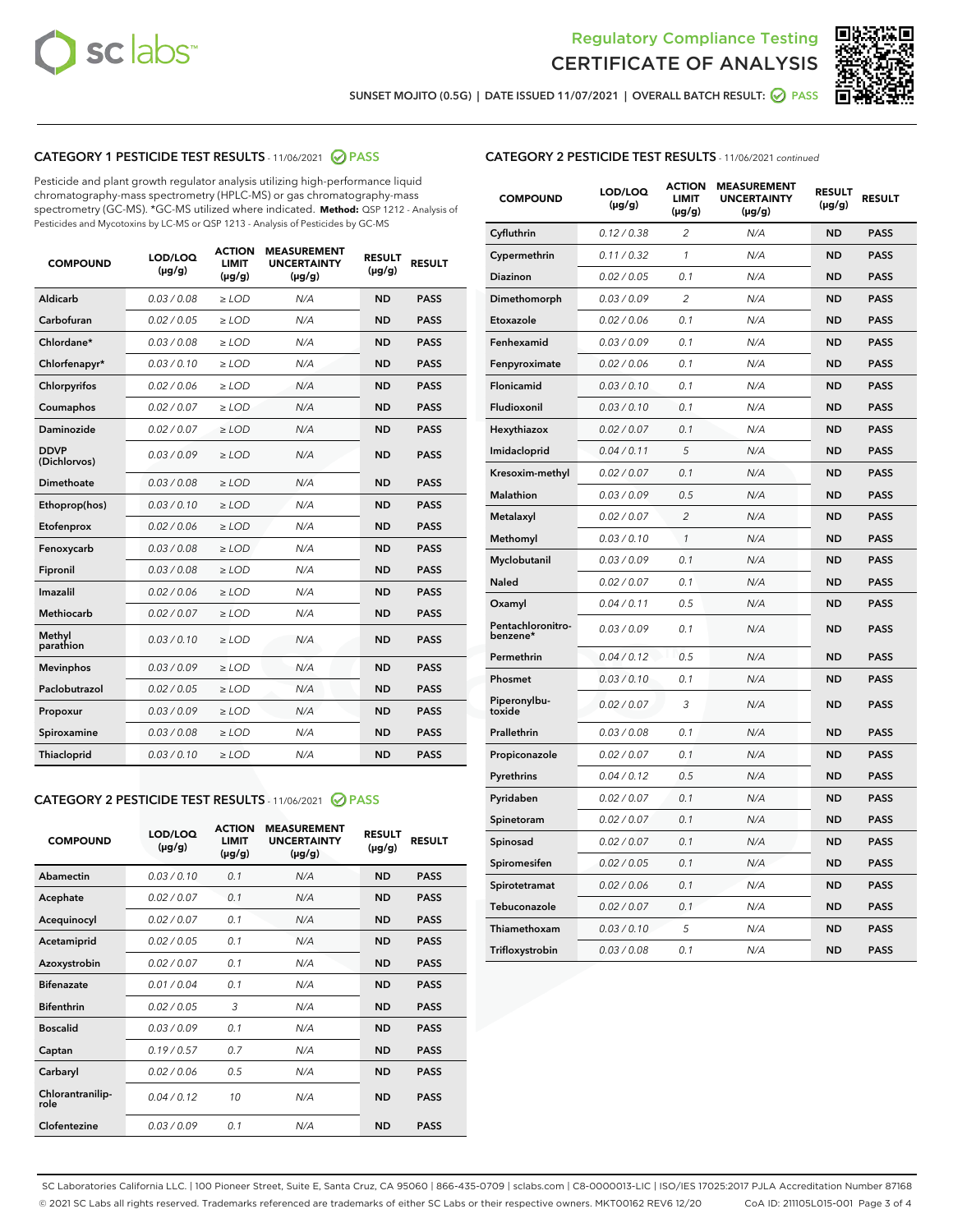



SUNSET MOJITO (0.5G) | DATE ISSUED 11/07/2021 | OVERALL BATCH RESULT: @ PASS

## CATEGORY 1 PESTICIDE TEST RESULTS - 11/06/2021 2 PASS

Pesticide and plant growth regulator analysis utilizing high-performance liquid chromatography-mass spectrometry (HPLC-MS) or gas chromatography-mass spectrometry (GC-MS). \*GC-MS utilized where indicated. **Method:** QSP 1212 - Analysis of Pesticides and Mycotoxins by LC-MS or QSP 1213 - Analysis of Pesticides by GC-MS

| <b>COMPOUND</b>             | LOD/LOQ<br>$(\mu g/g)$ | <b>ACTION</b><br><b>LIMIT</b><br>$(\mu g/g)$ | <b>MEASUREMENT</b><br><b>UNCERTAINTY</b><br>$(\mu g/g)$ | <b>RESULT</b><br>$(\mu g/g)$ | <b>RESULT</b> |
|-----------------------------|------------------------|----------------------------------------------|---------------------------------------------------------|------------------------------|---------------|
| Aldicarb                    | 0.03/0.08              | $>$ LOD                                      | N/A                                                     | <b>ND</b>                    | <b>PASS</b>   |
| Carbofuran                  | 0.02 / 0.05            | $\ge$ LOD                                    | N/A                                                     | <b>ND</b>                    | <b>PASS</b>   |
| Chlordane*                  | 0.03/0.08              | $>$ LOD                                      | N/A                                                     | <b>ND</b>                    | <b>PASS</b>   |
| Chlorfenapyr*               | 0.03/0.10              | $\ge$ LOD                                    | N/A                                                     | <b>ND</b>                    | <b>PASS</b>   |
| Chlorpyrifos                | 0.02 / 0.06            | $\ge$ LOD                                    | N/A                                                     | <b>ND</b>                    | <b>PASS</b>   |
| Coumaphos                   | 0.02 / 0.07            | $\ge$ LOD                                    | N/A                                                     | <b>ND</b>                    | <b>PASS</b>   |
| Daminozide                  | 0.02 / 0.07            | $\ge$ LOD                                    | N/A                                                     | <b>ND</b>                    | <b>PASS</b>   |
| <b>DDVP</b><br>(Dichlorvos) | 0.03/0.09              | $\ge$ LOD                                    | N/A                                                     | <b>ND</b>                    | <b>PASS</b>   |
| <b>Dimethoate</b>           | 0.03 / 0.08            | $\ge$ LOD                                    | N/A                                                     | <b>ND</b>                    | <b>PASS</b>   |
| Ethoprop(hos)               | 0.03/0.10              | $\ge$ LOD                                    | N/A                                                     | <b>ND</b>                    | <b>PASS</b>   |
| Etofenprox                  | 0.02 / 0.06            | $\ge$ LOD                                    | N/A                                                     | <b>ND</b>                    | <b>PASS</b>   |
| Fenoxycarb                  | 0.03 / 0.08            | $\ge$ LOD                                    | N/A                                                     | <b>ND</b>                    | <b>PASS</b>   |
| Fipronil                    | 0.03/0.08              | $>$ LOD                                      | N/A                                                     | <b>ND</b>                    | <b>PASS</b>   |
| Imazalil                    | 0.02 / 0.06            | $\ge$ LOD                                    | N/A                                                     | <b>ND</b>                    | <b>PASS</b>   |
| <b>Methiocarb</b>           | 0.02 / 0.07            | $\ge$ LOD                                    | N/A                                                     | <b>ND</b>                    | <b>PASS</b>   |
| Methyl<br>parathion         | 0.03/0.10              | $\ge$ LOD                                    | N/A                                                     | <b>ND</b>                    | <b>PASS</b>   |
| <b>Mevinphos</b>            | 0.03/0.09              | $\ge$ LOD                                    | N/A                                                     | <b>ND</b>                    | <b>PASS</b>   |
| Paclobutrazol               | 0.02 / 0.05            | $>$ LOD                                      | N/A                                                     | <b>ND</b>                    | <b>PASS</b>   |
| Propoxur                    | 0.03/0.09              | $\ge$ LOD                                    | N/A                                                     | <b>ND</b>                    | <b>PASS</b>   |
| Spiroxamine                 | 0.03 / 0.08            | $\ge$ LOD                                    | N/A                                                     | <b>ND</b>                    | <b>PASS</b>   |
| Thiacloprid                 | 0.03/0.10              | $\ge$ LOD                                    | N/A                                                     | <b>ND</b>                    | <b>PASS</b>   |

#### CATEGORY 2 PESTICIDE TEST RESULTS - 11/06/2021 @ PASS

| <b>COMPOUND</b>          | LOD/LOQ<br>$(\mu g/g)$ | <b>ACTION</b><br><b>LIMIT</b><br>$(\mu g/g)$ | <b>MEASUREMENT</b><br><b>UNCERTAINTY</b><br>$(\mu g/g)$ | <b>RESULT</b><br>$(\mu g/g)$ | <b>RESULT</b> |
|--------------------------|------------------------|----------------------------------------------|---------------------------------------------------------|------------------------------|---------------|
| Abamectin                | 0.03/0.10              | 0.1                                          | N/A                                                     | <b>ND</b>                    | <b>PASS</b>   |
| Acephate                 | 0.02/0.07              | 0.1                                          | N/A                                                     | <b>ND</b>                    | <b>PASS</b>   |
| Acequinocyl              | 0.02/0.07              | 0.1                                          | N/A                                                     | <b>ND</b>                    | <b>PASS</b>   |
| Acetamiprid              | 0.02/0.05              | 0.1                                          | N/A                                                     | <b>ND</b>                    | <b>PASS</b>   |
| Azoxystrobin             | 0 02 / 0 07            | 0.1                                          | N/A                                                     | <b>ND</b>                    | <b>PASS</b>   |
| <b>Bifenazate</b>        | 0.01/0.04              | 0.1                                          | N/A                                                     | <b>ND</b>                    | <b>PASS</b>   |
| <b>Bifenthrin</b>        | 0.02 / 0.05            | 3                                            | N/A                                                     | <b>ND</b>                    | <b>PASS</b>   |
| <b>Boscalid</b>          | 0.03/0.09              | 0.1                                          | N/A                                                     | <b>ND</b>                    | <b>PASS</b>   |
| Captan                   | 0.19/0.57              | 0.7                                          | N/A                                                     | <b>ND</b>                    | <b>PASS</b>   |
| Carbaryl                 | 0.02/0.06              | 0.5                                          | N/A                                                     | <b>ND</b>                    | <b>PASS</b>   |
| Chlorantranilip-<br>role | 0.04/0.12              | 10                                           | N/A                                                     | <b>ND</b>                    | <b>PASS</b>   |
| Clofentezine             | 0.03/0.09              | 0.1                                          | N/A                                                     | <b>ND</b>                    | <b>PASS</b>   |

## CATEGORY 2 PESTICIDE TEST RESULTS - 11/06/2021 continued

| <b>COMPOUND</b>               | LOD/LOQ<br>(µg/g) | <b>ACTION</b><br><b>LIMIT</b><br>$(\mu g/g)$ | <b>MEASUREMENT</b><br><b>UNCERTAINTY</b><br>$(\mu g/g)$ | <b>RESULT</b><br>(µg/g) | <b>RESULT</b> |
|-------------------------------|-------------------|----------------------------------------------|---------------------------------------------------------|-------------------------|---------------|
| Cyfluthrin                    | 0.12 / 0.38       | $\overline{c}$                               | N/A                                                     | ND                      | <b>PASS</b>   |
| Cypermethrin                  | 0.11 / 0.32       | $\mathcal{I}$                                | N/A                                                     | ND                      | <b>PASS</b>   |
| Diazinon                      | 0.02 / 0.05       | 0.1                                          | N/A                                                     | <b>ND</b>               | <b>PASS</b>   |
| Dimethomorph                  | 0.03 / 0.09       | 2                                            | N/A                                                     | ND                      | <b>PASS</b>   |
| Etoxazole                     | 0.02 / 0.06       | 0.1                                          | N/A                                                     | ND                      | <b>PASS</b>   |
| Fenhexamid                    | 0.03 / 0.09       | 0.1                                          | N/A                                                     | <b>ND</b>               | <b>PASS</b>   |
| Fenpyroximate                 | 0.02 / 0.06       | 0.1                                          | N/A                                                     | ND                      | <b>PASS</b>   |
| Flonicamid                    | 0.03 / 0.10       | 0.1                                          | N/A                                                     | ND                      | <b>PASS</b>   |
| Fludioxonil                   | 0.03 / 0.10       | 0.1                                          | N/A                                                     | ND                      | <b>PASS</b>   |
| Hexythiazox                   | 0.02 / 0.07       | 0.1                                          | N/A                                                     | ND                      | <b>PASS</b>   |
| Imidacloprid                  | 0.04 / 0.11       | 5                                            | N/A                                                     | ND                      | <b>PASS</b>   |
| Kresoxim-methyl               | 0.02 / 0.07       | 0.1                                          | N/A                                                     | ND                      | <b>PASS</b>   |
| <b>Malathion</b>              | 0.03 / 0.09       | 0.5                                          | N/A                                                     | ND                      | <b>PASS</b>   |
| Metalaxyl                     | 0.02 / 0.07       | $\overline{c}$                               | N/A                                                     | ND                      | <b>PASS</b>   |
| Methomyl                      | 0.03 / 0.10       | 1                                            | N/A                                                     | <b>ND</b>               | <b>PASS</b>   |
| Myclobutanil                  | 0.03 / 0.09       | 0.1                                          | N/A                                                     | ND                      | <b>PASS</b>   |
| Naled                         | 0.02 / 0.07       | 0.1                                          | N/A                                                     | ND                      | <b>PASS</b>   |
| Oxamyl                        | 0.04 / 0.11       | 0.5                                          | N/A                                                     | ND                      | <b>PASS</b>   |
| Pentachloronitro-<br>benzene* | 0.03 / 0.09       | 0.1                                          | N/A                                                     | ND                      | <b>PASS</b>   |
| Permethrin                    | 0.04 / 0.12       | 0.5                                          | N/A                                                     | ND                      | <b>PASS</b>   |
| Phosmet                       | 0.03 / 0.10       | 0.1                                          | N/A                                                     | ND                      | <b>PASS</b>   |
| Piperonylbu-<br>toxide        | 0.02 / 0.07       | 3                                            | N/A                                                     | ND                      | <b>PASS</b>   |
| Prallethrin                   | 0.03 / 0.08       | 0.1                                          | N/A                                                     | ND                      | <b>PASS</b>   |
| Propiconazole                 | 0.02 / 0.07       | 0.1                                          | N/A                                                     | ND                      | <b>PASS</b>   |
| Pyrethrins                    | 0.04 / 0.12       | 0.5                                          | N/A                                                     | ND                      | <b>PASS</b>   |
| Pyridaben                     | 0.02 / 0.07       | 0.1                                          | N/A                                                     | ND                      | <b>PASS</b>   |
| Spinetoram                    | 0.02 / 0.07       | 0.1                                          | N/A                                                     | ND                      | <b>PASS</b>   |
| Spinosad                      | 0.02 / 0.07       | 0.1                                          | N/A                                                     | ND                      | <b>PASS</b>   |
| Spiromesifen                  | 0.02 / 0.05       | 0.1                                          | N/A                                                     | <b>ND</b>               | <b>PASS</b>   |
| Spirotetramat                 | 0.02 / 0.06       | 0.1                                          | N/A                                                     | ND                      | <b>PASS</b>   |
| Tebuconazole                  | 0.02 / 0.07       | 0.1                                          | N/A                                                     | ND                      | <b>PASS</b>   |
| Thiamethoxam                  | 0.03 / 0.10       | 5                                            | N/A                                                     | ND                      | <b>PASS</b>   |
| Trifloxystrobin               | 0.03 / 0.08       | 0.1                                          | N/A                                                     | <b>ND</b>               | <b>PASS</b>   |

SC Laboratories California LLC. | 100 Pioneer Street, Suite E, Santa Cruz, CA 95060 | 866-435-0709 | sclabs.com | C8-0000013-LIC | ISO/IES 17025:2017 PJLA Accreditation Number 87168 © 2021 SC Labs all rights reserved. Trademarks referenced are trademarks of either SC Labs or their respective owners. MKT00162 REV6 12/20 CoA ID: 211105L015-001 Page 3 of 4